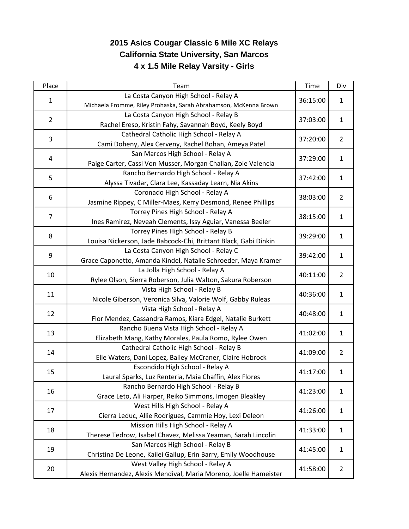## **2015 Asics Cougar Classic 6 Mile XC Relays California State University, San Marcos 4 x 1.5 Mile Relay Varsity - Girls**

| Place          | Team                                                              | Time     | Div            |
|----------------|-------------------------------------------------------------------|----------|----------------|
| $\mathbf{1}$   | La Costa Canyon High School - Relay A                             | 36:15:00 | $\mathbf{1}$   |
|                | Michaela Fromme, Riley Prohaska, Sarah Abrahamson, McKenna Brown  |          |                |
| $\overline{2}$ | La Costa Canyon High School - Relay B                             | 37:03:00 | $\mathbf{1}$   |
|                | Rachel Ereso, Kristin Fahy, Savannah Boyd, Keely Boyd             |          |                |
| 3              | Cathedral Catholic High School - Relay A                          | 37:20:00 | $\overline{2}$ |
|                | Cami Doheny, Alex Cerveny, Rachel Bohan, Ameya Patel              |          |                |
| 4              | San Marcos High School - Relay A                                  | 37:29:00 | $\mathbf{1}$   |
|                | Paige Carter, Cassi Von Musser, Morgan Challan, Zoie Valencia     |          |                |
| 5              | Rancho Bernardo High School - Relay A                             | 37:42:00 | $\mathbf{1}$   |
|                | Alyssa Tivadar, Clara Lee, Kassaday Learn, Nia Akins              |          |                |
| 6              | Coronado High School - Relay A                                    | 38:03:00 | $\overline{2}$ |
|                | Jasmine Rippey, C Miller-Maes, Kerry Desmond, Renee Phillips      |          |                |
| $\overline{7}$ | Torrey Pines High School - Relay A                                | 38:15:00 | $\mathbf{1}$   |
|                | Ines Ramirez, Neveah Clements, Issy Aguiar, Vanessa Beeler        |          |                |
|                | Torrey Pines High School - Relay B                                |          | $\mathbf{1}$   |
| 8              | Louisa Nickerson, Jade Babcock-Chi, Brittant Black, Gabi Dinkin   | 39:29:00 |                |
|                | La Costa Canyon High School - Relay C                             |          | $\mathbf{1}$   |
| 9              | Grace Caponetto, Amanda Kindel, Natalie Schroeder, Maya Kramer    | 39:42:00 |                |
| 10             | La Jolla High School - Relay A                                    | 40:11:00 | $\overline{2}$ |
|                | Rylee Olson, Sierra Roberson, Julia Walton, Sakura Roberson       |          |                |
| 11             | Vista High School - Relay B                                       | 40:36:00 | $\mathbf{1}$   |
|                | Nicole Giberson, Veronica Silva, Valorie Wolf, Gabby Ruleas       |          |                |
|                | Vista High School - Relay A                                       | 40:48:00 | $\mathbf{1}$   |
| 12             | Flor Mendez, Cassandra Ramos, Kiara Edgel, Natalie Burkett        |          |                |
|                | Rancho Buena Vista High School - Relay A                          | 41:02:00 | $\mathbf{1}$   |
| 13             | Elizabeth Mang, Kathy Morales, Paula Romo, Rylee Owen             |          |                |
| 14             | Cathedral Catholic High School - Relay B                          | 41:09:00 | $\overline{2}$ |
|                | Elle Waters, Dani Lopez, Bailey McCraner, Claire Hobrock          |          |                |
| 15             | Escondido High School - Relay A                                   | 41:17:00 | $\mathbf{1}$   |
|                | Laural Sparks, Luz Renteria, Maia Chaffin, Alex Flores            |          |                |
| 16             | Rancho Bernardo High School - Relay B                             | 41:23:00 | $\mathbf{1}$   |
|                | Grace Leto, Ali Harper, Reiko Simmons, Imogen Bleakley            |          |                |
| 17             | West Hills High School - Relay A                                  | 41:26:00 | $\mathbf{1}$   |
|                | Cierra Leduc, Allie Rodrigues, Cammie Hoy, Lexi Deleon            |          |                |
| 18             | Mission Hills High School - Relay A                               | 41:33:00 | $\mathbf{1}$   |
|                | Therese Tedrow, Isabel Chavez, Melissa Yeaman, Sarah Lincolin     |          |                |
| 19             | San Marcos High School - Relay B                                  | 41:45:00 | $\mathbf{1}$   |
|                | Christina De Leone, Kailei Gallup, Erin Barry, Emily Woodhouse    |          |                |
|                | West Valley High School - Relay A                                 |          |                |
| 20             |                                                                   | 41:58:00 | $\overline{2}$ |
|                | Alexis Hernandez, Alexis Mendival, Maria Moreno, Joelle Hameister |          |                |